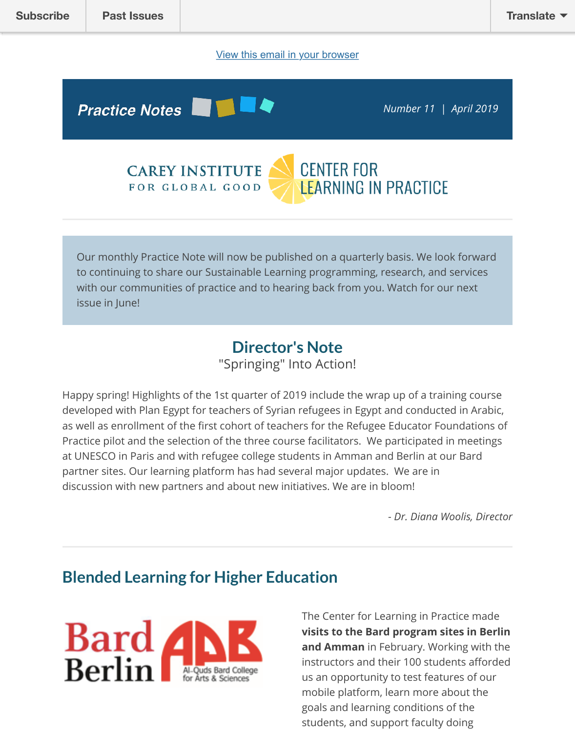# **Practice Notes**

**CENTER FOR CAREY INSTITUTE LEARNING IN PRACTICE** FOR GLOBAL GOOD

Our monthly Practice Note will now be published on a quarterly basis. We look forward to continu[ing to share our Sustainable Learning programming, research, and](http://careyinstitute.org/) services with our communities of practice and to hearing back from you. Watch for our next issue in June!

# **Director's Note**

"Springing" Into Action!

Happy spring! Highlights of the 1st quarter of 2019 include the wrap up of a training cour developed with Plan Egypt for teachers of Syrian refugees in Egypt and conducted in Ara as well as enrollment of the first cohort of teachers for the Refugee Educator Foundation Practice pilot and the selection of the three course facilitators. We participated in meetir at UNESCO in Paris and with refugee college students in Amman and Berlin at our Bard partner sites. Our learning platform has had several major updates. We are in discussion with new partners and about new initiatives. We are in bloom!

- *Dr. Diana Woolis, Dir* 

# **Blended Learning for Higher Education**



The Center for Learning in Practice ma visits to the Bard program sites in Be **and Amman** in February. Working with instructors and their 100 students affo us an opportunity to test features of our mobile platform, learn more about the goals and learning conditions of the students, and support faculty doing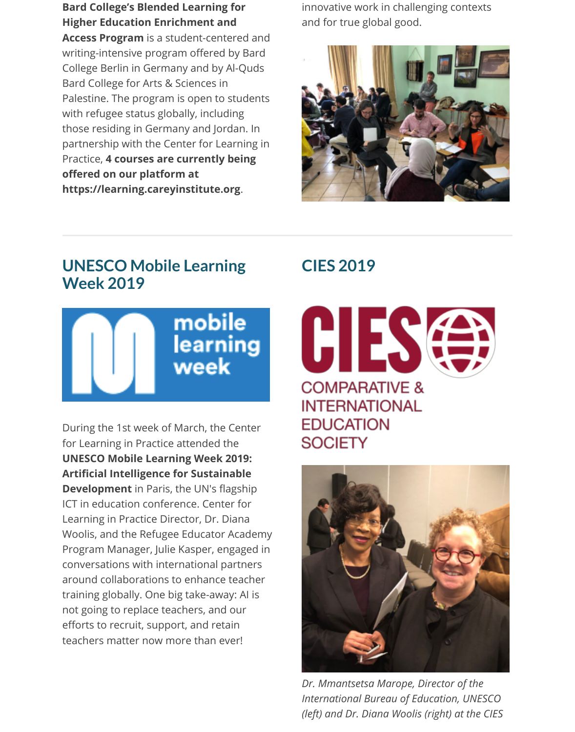**Bard College's Blended Learning for Higher Education Enrichment and Access Program** is a student-centered and writing-intensive program offered by Bard College Berlin in Germany and by Al-Quds Bard College for Arts & Sciences in Palestine. The program is open to students with refugee status globally, including those residing in Germany and Jordan. In partnership with the Center for Learning in Practice, **4 courses are currently being offered on our platform at https://learning.careyinstitute.org**.

innovative work in challenging contexts and for true global good.



# **UNESCO Mobile Learning Week 2019**



During the 1st week of March, the Center for Learning in Practice attended the **UNESCO Mobile Learning Week 2019: Artificial Intelligence for Sustainable Development** in Paris, the UN's flagship ICT in education conference. Center for Learning in Practice Director, Dr. Diana Woolis, and the Refugee Educator Academy Program Manager, Julie Kasper, engaged in conversations with international partners around collaborations to enhance teacher training globally. One big take-away: AI is not going to replace teachers, and our efforts to recruit, support, and retain teachers matter now more than ever!

# **CIES 2019**

GII R **COMPARATIVE & INTERNATIONAL EDUCATION SOCIETY** 



*Dr. Mmantsetsa Marope, Director of the International Bureau of Education, UNESCO (left) and Dr. Diana Woolis (right) at the CIES*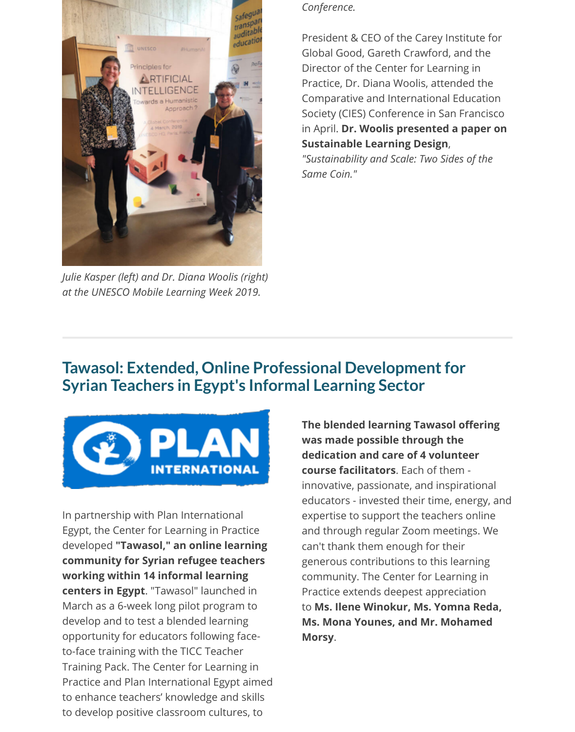

*Julie Kasper (left) and Dr. Diana Woolis (right) at the UNESCO Mobile Learning Week 2019.*

#### *Conference.*

President & CEO of the Carey Institute for Global Good, Gareth Crawford, and the Director of the Center for Learning in Practice, Dr. Diana Woolis, attended the Comparative and International Education Society (CIES) Conference in San Francisco in April. **Dr. Woolis presented a paper on Sustainable Learning Design**,

*"Sustainability and Scale: Two Sides of the Same Coin."*

#### **Tawasol: Extended, Online Professional Development for Syrian Teachers in Egypt's Informal Learning Sector**



In partnership with Plan International Egypt, the Center for Learning in Practice developed **"Tawasol," an online learning community for Syrian refugee teachers working within 14 informal learning centers in Egypt**. "Tawasol" launched in March as a 6-week long pilot program to develop and to test a blended learning opportunity for educators following faceto-face training with the TICC Teacher Training Pack. The Center for Learning in Practice and Plan International Egypt aimed to enhance teachers' knowledge and skills to develop positive classroom cultures, to

**The blended learning Tawasol offering was made possible through the dedication and care of 4 volunteer course facilitators**. Each of them innovative, passionate, and inspirational educators - invested their time, energy, and expertise to support the teachers online and through regular Zoom meetings. We can't thank them enough for their generous contributions to this learning community. The Center for Learning in Practice extends deepest appreciation to **Ms. Ilene Winokur, Ms. Yomna Reda, Ms. Mona Younes, and Mr. Mohamed Morsy**.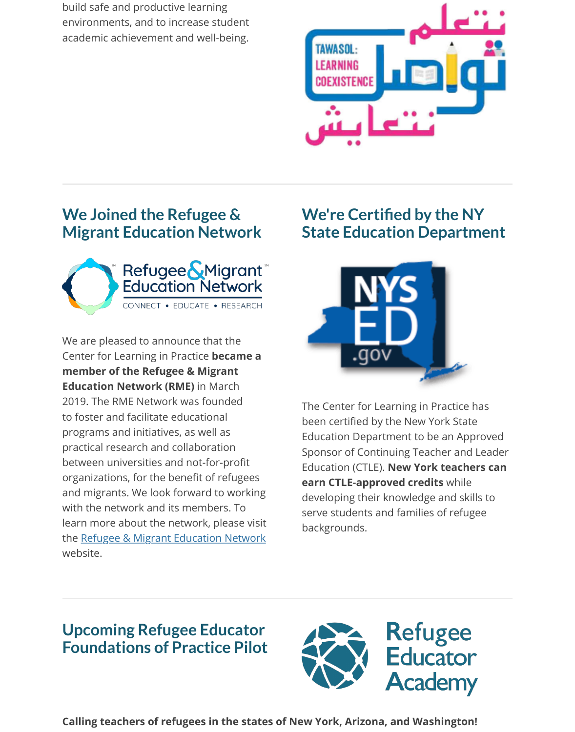

### **We Joined the Refugee & Migrant Education Network**



We are pleased to announce that the Center for Learning in Practice **became a member of the Refugee & Migrant Education Network (RME)** in March 2019. The RME Network was founded to foster and facilitate educational programs and initiatives, as well as practical research and collaboration between universities and not-for-profit organizations, for the benefit of refugees and migrants. We look forward to working with the network and its members. To learn more about the network, please visit the Refugee & Migrant Education Network website.

# **We're Certified by the NY State Education Departme**



The Center for Learning in Practice has been certified by the New York State Education Department to be an Approv Sponsor of Continuing Teacher and Lea **Education (CTLE). New York teachers earn CTLE-approved credits** while developing their knowledge and skills t serve students and families of refugee backgrounds.

#### **U[pcoming Refugee Educator](http://rmenetwork.org/) Foundations of Practice Pilot**



**Calling teachers of refugees in the states of New York, Arizona, and Washington!**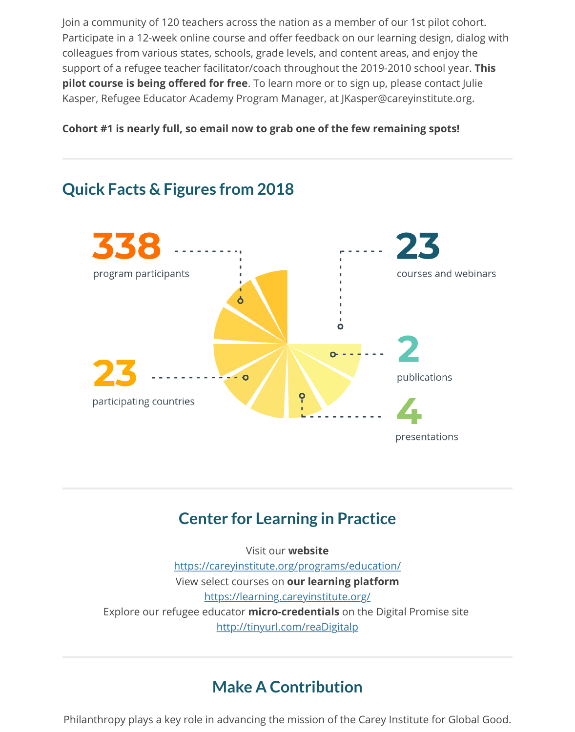**Cohort #1 is nearly full, so email now to grab one of the few remaining spots!**

# **Quick Facts & Figures from 2018**



### **Center for Learning in Practice**

Visit our **website** https://careyinstitute.org/programs/education/ View select courses on **our learning platform** https://learning.careyinstitute.org/ Explore our refugee educator **micro-credentials** on the Digital Promise site http://tinyurl.com/reaDigitalp

### **[Make A Contribution](https://learning.careyinstitute.org/)**

Philanthropy plays a key role in [advancing the mission of the](http://tinyurl.com/reaDigitalp) Carey Institute for Global G